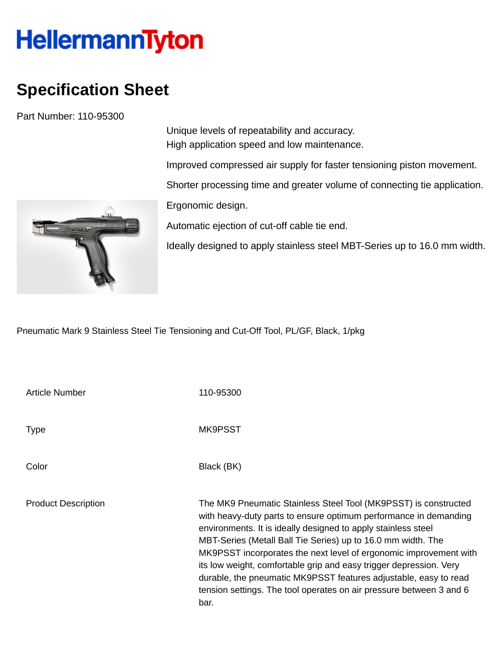## **HellermannTyton**

## **Specification Sheet**

Part Number: 110-95300



Unique levels of repeatability and accuracy. High application speed and low maintenance.

Improved compressed air supply for faster tensioning piston movement.

Shorter processing time and greater volume of connecting tie application.

Ergonomic design.

Automatic ejection of cut-off cable tie end.

Ideally designed to apply stainless steel MBT-Series up to 16.0 mm width.

Pneumatic Mark 9 Stainless Steel Tie Tensioning and Cut-Off Tool, PL/GF, Black, 1/pkg

| <b>Article Number</b>      | 110-95300                                                                                                                                                                                                                                                                                                                                                                                                                                                                                                                                                          |
|----------------------------|--------------------------------------------------------------------------------------------------------------------------------------------------------------------------------------------------------------------------------------------------------------------------------------------------------------------------------------------------------------------------------------------------------------------------------------------------------------------------------------------------------------------------------------------------------------------|
| Type                       | MK9PSST                                                                                                                                                                                                                                                                                                                                                                                                                                                                                                                                                            |
| Color                      | Black (BK)                                                                                                                                                                                                                                                                                                                                                                                                                                                                                                                                                         |
| <b>Product Description</b> | The MK9 Pneumatic Stainless Steel Tool (MK9PSST) is constructed<br>with heavy-duty parts to ensure optimum performance in demanding<br>environments. It is ideally designed to apply stainless steel<br>MBT-Series (Metall Ball Tie Series) up to 16.0 mm width. The<br>MK9PSST incorporates the next level of ergonomic improvement with<br>its low weight, comfortable grip and easy trigger depression. Very<br>durable, the pneumatic MK9PSST features adjustable, easy to read<br>tension settings. The tool operates on air pressure between 3 and 6<br>bar. |